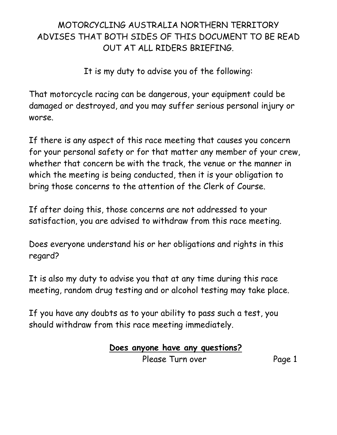### MOTORCYCLING AUSTRALIA NORTHERN TERRITORY ADVISES THAT BOTH SIDES OF THIS DOCUMENT TO BE READ OUT AT ALL RIDERS BRIEFING.

It is my duty to advise you of the following:

That motorcycle racing can be dangerous, your equipment could be damaged or destroyed, and you may suffer serious personal injury or worse.

If there is any aspect of this race meeting that causes you concern for your personal safety or for that matter any member of your crew, whether that concern be with the track, the venue or the manner in which the meeting is being conducted, then it is your obligation to bring those concerns to the attention of the Clerk of Course.

If after doing this, those concerns are not addressed to your satisfaction, you are advised to withdraw from this race meeting.

Does everyone understand his or her obligations and rights in this regard?

It is also my duty to advise you that at any time during this race meeting, random drug testing and or alcohol testing may take place.

If you have any doubts as to your ability to pass such a test, you should withdraw from this race meeting immediately.

### **Does anyone have any questions?**

Please Turn over Page 1